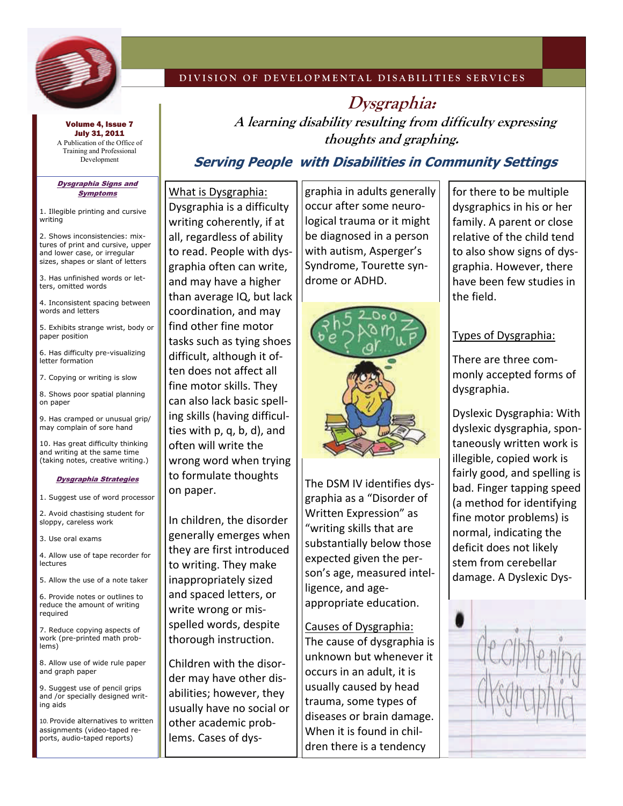

### **DIVISION OF DEVELOPMENTAL DISABILITIES SERVICES**

**Dysgraphia: A learning disability resulting from difficulty expressing thoughts and graphing.** 

Volume 4, Issue 7 July 31, 2011 A Publication of the Office of Training and Professional Development

#### Dysgraphia Signs and Symptoms

1. Illegible printing and cursive writing

2. Shows inconsistencies: mixtures of print and cursive, upper and lower case, or irregular sizes, shapes or slant of letters

3. Has unfinished words or letters, omitted words

4. Inconsistent spacing between words and letters

5. Exhibits strange wrist, body or paper position

6. Has difficulty pre-visualizing letter formation

7. Copying or writing is slow

8. Shows poor spatial planning on paper

9. Has cramped or unusual grip/ may complain of sore hand

10. Has great difficulty thinking and writing at the same time (taking notes, creative writing.)

#### Dysgraphia Strategies

1. Suggest use of word processor

2. Avoid chastising student for sloppy, careless work

3. Use oral exams

4. Allow use of tape recorder for lectures

5. Allow the use of a note taker

6. Provide notes or outlines to reduce the amount of writing required

7. Reduce copying aspects of work (pre-printed math problems)

8. Allow use of wide rule paper and graph paper

9. Suggest use of pencil grips and /or specially designed writing aids

10. Provide alternatives to written assignments (video-taped reports, audio-taped reports)

What is Dysgraphia: Dysgraphia is a difficulty writing coherently, if at all, regardless of ability to read. People with dys‐ graphia often can write, and may have a higher than average IQ, but lack coordination, and may find other fine motor tasks such as tying shoes difficult, although it of‐ ten does not affect all fine motor skills. They can also lack basic spell‐ ing skills (having difficul‐ ties with p, q, b, d), and often will write the wrong word when trying to formulate thoughts on paper.

In children, the disorder generally emerges when they are first introduced to writing. They make inappropriately sized and spaced letters, or write wrong or mis‐ spelled words, despite thorough instruction.

Children with the disor‐ der may have other dis‐ abilities; however, they usually have no social or other academic prob‐ lems. Cases of dys‐

graphia in adults generally occur after some neuro‐ logical trauma or it might be diagnosed in a person with autism, Asperger's Syndrome, Tourette syn‐ drome or ADHD.

**Serving People with Disabilities in Community Settings**



The DSM IV identifies dys‐ graphia as a "Disorder of Written Expression" as "writing skills that are substantially below those expected given the per‐ son's age, measured intel‐ ligence, and age‐ appropriate education.

### Causes of Dysgraphia:

The cause of dysgraphia is unknown but whenever it occurs in an adult, it is usually caused by head trauma, some types of diseases or brain damage. When it is found in chil‐ dren there is a tendency

for there to be multiple dysgraphics in his or her family. A parent or close relative of the child tend to also show signs of dys‐ graphia. However, there have been few studies in the field.

## Types of Dysgraphia:

There are three com‐ monly accepted forms of dysgraphia.

Dyslexic Dysgraphia: With dyslexic dysgraphia, spon‐ taneously written work is illegible, copied work is fairly good, and spelling is bad. Finger tapping speed (a method for identifying fine motor problems) is normal, indicating the deficit does not likely stem from cerebellar damage. A Dyslexic Dys‐